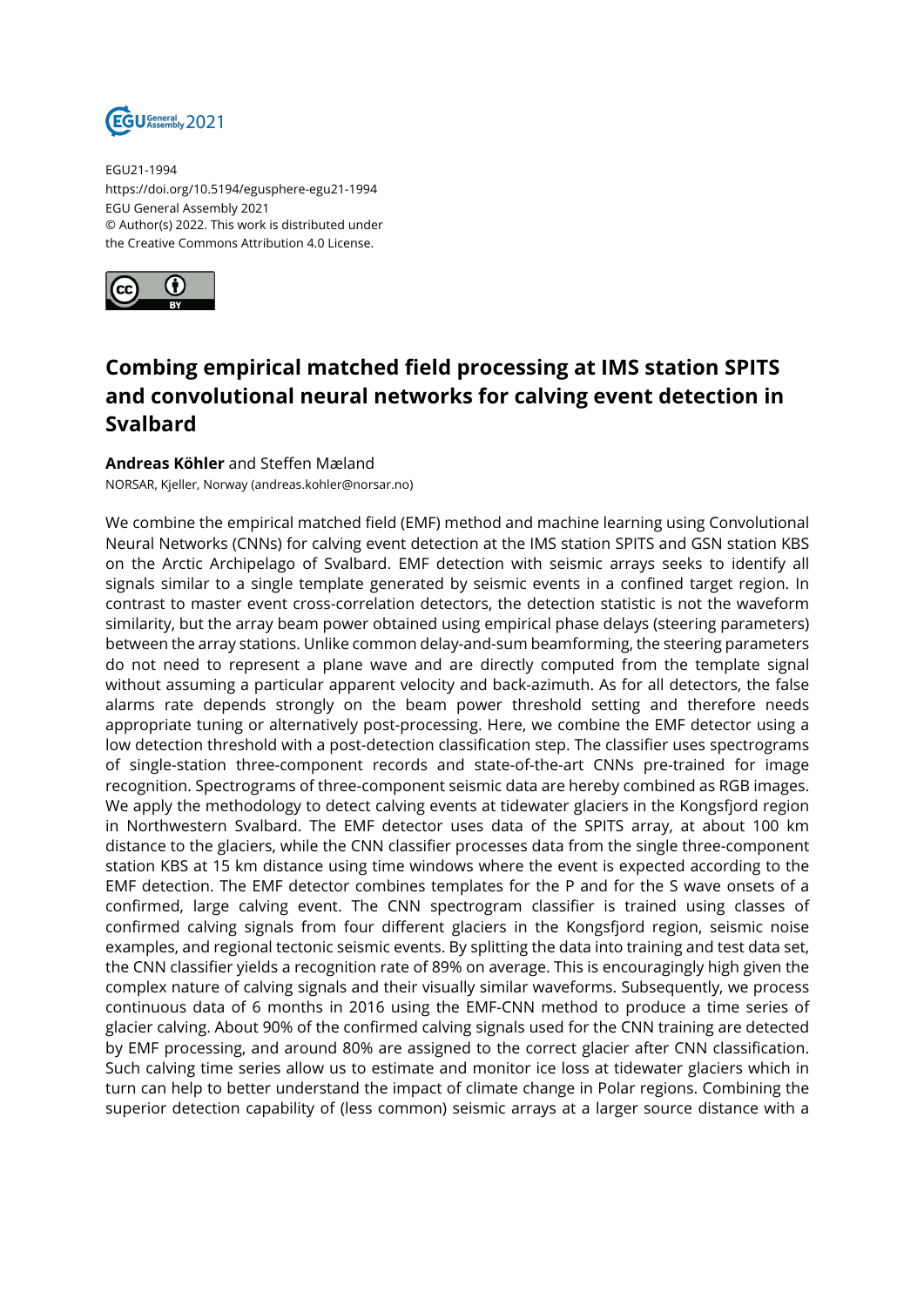

EGU21-1994 https://doi.org/10.5194/egusphere-egu21-1994 EGU General Assembly 2021 © Author(s) 2022. This work is distributed under the Creative Commons Attribution 4.0 License.



## **Combing empirical matched field processing at IMS station SPITS and convolutional neural networks for calving event detection in Svalbard**

## **Andreas Köhler** and Steffen Mæland

NORSAR, Kjeller, Norway (andreas.kohler@norsar.no)

We combine the empirical matched field (EMF) method and machine learning using Convolutional Neural Networks (CNNs) for calving event detection at the IMS station SPITS and GSN station KBS on the Arctic Archipelago of Svalbard. EMF detection with seismic arrays seeks to identify all signals similar to a single template generated by seismic events in a confined target region. In contrast to master event cross-correlation detectors, the detection statistic is not the waveform similarity, but the array beam power obtained using empirical phase delays (steering parameters) between the array stations. Unlike common delay-and-sum beamforming, the steering parameters do not need to represent a plane wave and are directly computed from the template signal without assuming a particular apparent velocity and back-azimuth. As for all detectors, the false alarms rate depends strongly on the beam power threshold setting and therefore needs appropriate tuning or alternatively post-processing. Here, we combine the EMF detector using a low detection threshold with a post-detection classification step. The classifier uses spectrograms of single-station three-component records and state-of-the-art CNNs pre-trained for image recognition. Spectrograms of three-component seismic data are hereby combined as RGB images. We apply the methodology to detect calving events at tidewater glaciers in the Kongsfjord region in Northwestern Svalbard. The EMF detector uses data of the SPITS array, at about 100 km distance to the glaciers, while the CNN classifier processes data from the single three-component station KBS at 15 km distance using time windows where the event is expected according to the EMF detection. The EMF detector combines templates for the P and for the S wave onsets of a confirmed, large calving event. The CNN spectrogram classifier is trained using classes of confirmed calving signals from four different glaciers in the Kongsfjord region, seismic noise examples, and regional tectonic seismic events. By splitting the data into training and test data set, the CNN classifier yields a recognition rate of 89% on average. This is encouragingly high given the complex nature of calving signals and their visually similar waveforms. Subsequently, we process continuous data of 6 months in 2016 using the EMF-CNN method to produce a time series of glacier calving. About 90% of the confirmed calving signals used for the CNN training are detected by EMF processing, and around 80% are assigned to the correct glacier after CNN classification. Such calving time series allow us to estimate and monitor ice loss at tidewater glaciers which in turn can help to better understand the impact of climate change in Polar regions. Combining the superior detection capability of (less common) seismic arrays at a larger source distance with a